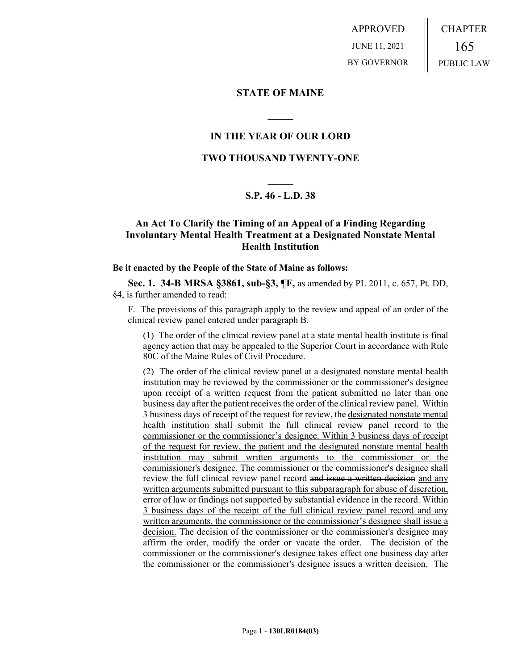APPROVED JUNE 11, 2021 BY GOVERNOR CHAPTER 165 PUBLIC LAW

**STATE OF MAINE**

# **IN THE YEAR OF OUR LORD**

**\_\_\_\_\_**

### **TWO THOUSAND TWENTY-ONE**

# **\_\_\_\_\_ S.P. 46 - L.D. 38**

## **An Act To Clarify the Timing of an Appeal of a Finding Regarding Involuntary Mental Health Treatment at a Designated Nonstate Mental Health Institution**

#### **Be it enacted by the People of the State of Maine as follows:**

**Sec. 1. 34-B MRSA §3861, sub-§3, ¶F,** as amended by PL 2011, c. 657, Pt. DD, §4, is further amended to read:

F. The provisions of this paragraph apply to the review and appeal of an order of the clinical review panel entered under paragraph B.

(1) The order of the clinical review panel at a state mental health institute is final agency action that may be appealed to the Superior Court in accordance with Rule 80C of the Maine Rules of Civil Procedure.

(2) The order of the clinical review panel at a designated nonstate mental health institution may be reviewed by the commissioner or the commissioner's designee upon receipt of a written request from the patient submitted no later than one business day after the patient receives the order of the clinical review panel. Within 3 business days of receipt of the request for review, the designated nonstate mental health institution shall submit the full clinical review panel record to the commissioner or the commissioner's designee. Within 3 business days of receipt of the request for review, the patient and the designated nonstate mental health institution may submit written arguments to the commissioner or the commissioner's designee. The commissioner or the commissioner's designee shall review the full clinical review panel record and issue a written decision and any written arguments submitted pursuant to this subparagraph for abuse of discretion, error of law or findings not supported by substantial evidence in the record. Within 3 business days of the receipt of the full clinical review panel record and any written arguments, the commissioner or the commissioner's designee shall issue a decision. The decision of the commissioner or the commissioner's designee may affirm the order, modify the order or vacate the order. The decision of the commissioner or the commissioner's designee takes effect one business day after the commissioner or the commissioner's designee issues a written decision. The